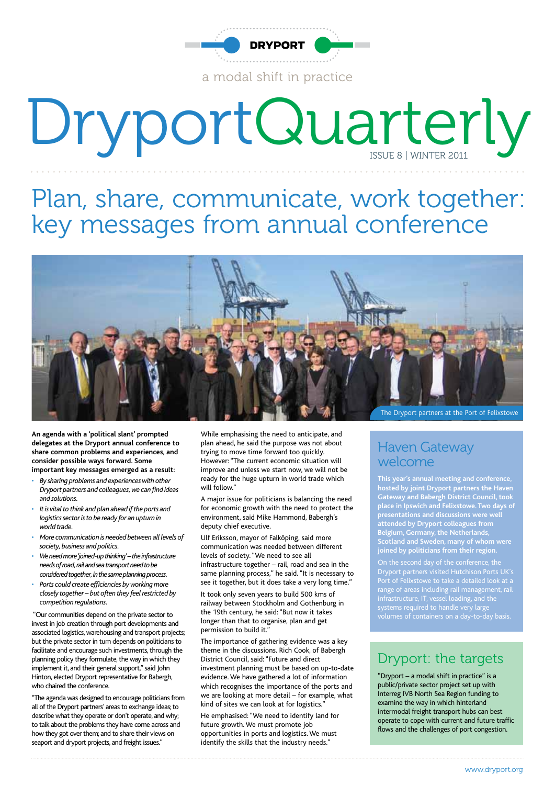

a modal shift in practice

# DryportQuarterly

Plan, share, communicate, work together: key messages from annual conference



**An agenda with a 'political slant' prompted delegates at the Dryport annual conference to share common problems and experiences, and consider possible ways forward. Some important key messages emerged as a result:**

- *• By sharing problems and experiences with other Dryport partners and colleagues, we can find ideas and solutions.*
- *• It is vital to think and plan ahead if the ports and logistics sector is to be ready for an upturn in world trade.*
- *• More communication is needed between all levels of society, business and politics.*
- *• We need more 'joined-up thinking' the infrastructure needs of road, rail and sea transport need to be considered together, in the same planning process.*
- *• Ports could create efficiencies by working more closely together – but often they feel restricted by competition regulations.*

 "Our communities depend on the private sector to invest in job creation through port developments and associated logistics, warehousing and transport projects; but the private sector in turn depends on politicians to facilitate and encourage such investments, through the planning policy they formulate, the way in which they implement it, and their general support," said John Hinton, elected Dryport representative for Babergh, who chaired the conference.

"The agenda was designed to encourage politicians from all of the Dryport partners' areas to exchange ideas; to describe what they operate or don't operate, and why; to talk about the problems they have come across and how they got over them; and to share their views on seaport and dryport projects, and freight issues."

While emphasising the need to anticipate, and plan ahead, he said the purpose was not about trying to move time forward too quickly. However: "The current economic situation will improve and unless we start now, we will not be ready for the huge upturn in world trade which will follow"

A major issue for politicians is balancing the need for economic growth with the need to protect the environment, said Mike Hammond, Babergh's deputy chief executive.

Ulf Eriksson, mayor of Falköping, said more communication was needed between different levels of society. "We need to see all infrastructure together – rail, road and sea in the same planning process," he said. "It is necessary to see it together, but it does take a very long time." It took only seven years to build 500 kms of railway between Stockholm and Gothenburg in the 19th century, he said: "But now it takes longer than that to organise, plan and get permission to build it."

The importance of gathering evidence was a key theme in the discussions. Rich Cook, of Babergh District Council, said: "Future and direct investment planning must be based on up-to-date evidence. We have gathered a lot of information which recognises the importance of the ports and we are looking at more detail – for example, what kind of sites we can look at for logistics."

He emphasised: "We need to identify land for future growth. We must promote job opportunities in ports and logistics. We must identify the skills that the industry needs."

The Dryport partners at the Port of Felixstowe

#### Haven Gateway welcome

**This year's annual meeting and conference, hosted by joint Dryport partners the Haven Gateway and Babergh District Council, took place in Ipswich and Felixstowe. Two days of presentations and discussions were well attended by Dryport colleagues from Belgium, Germany, the Netherlands, Scotland and Sweden, many of whom were joined by politicians from their region.**

Port of Felixstowe to take a detailed look at a range of areas including rail management, rail infrastructure, IT, vessel loading, and the systems required to handle very large

#### Dryport: the targets

"Dryport – a modal shift in practice" is a public/private sector project set up with Interreg IVB North Sea Region funding to examine the way in which hinterland intermodal freight transport hubs can best operate to cope with current and future traffic flows and the challenges of port congestion.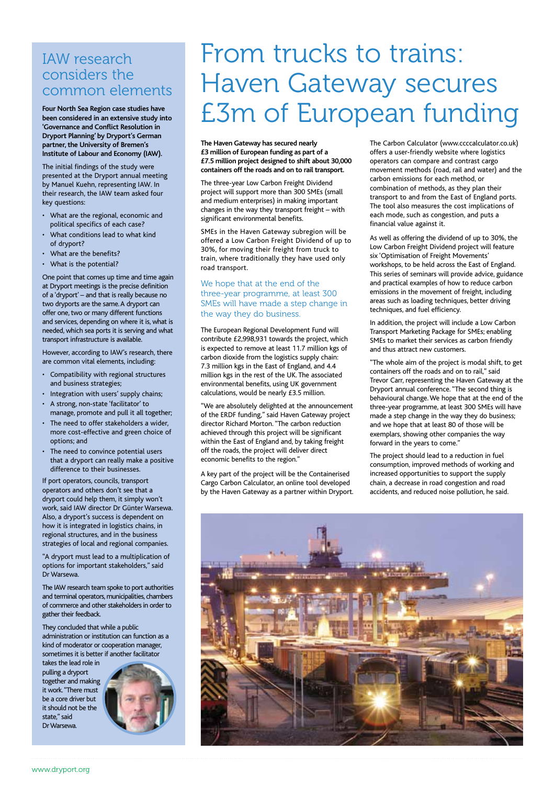#### IAW research considers the common elements

**Four North Sea Region case studies have been considered in an extensive study into 'Governance and Conflict Resolution in Dryport Planning' by Dryport's German partner, the University of Bremen's Institute of Labour and Economy (IAW).**

The initial findings of the study were presented at the Dryport annual meeting by Manuel Kuehn, representing IAW. In their research, the IAW team asked four key questions:

- • What are the regional, economic and political specifics of each case?
- What conditions lead to what kind of dryport?
- • What are the benefits?
- What is the potential?

One point that comes up time and time again at Dryport meetings is the precise definition of a 'dryport' – and that is really because no two dryports are the same. A dryport can offer one, two or many different functions and services, depending on where it is, what is needed, which sea ports it is serving and what transport infrastructure is available.

However, according to IAW's research, there are common vital elements, including:

- • Compatibility with regional structures and business strategies;
- Integration with users' supply chains;
- • A strong, non-state 'facilitator' to manage, promote and pull it all together;
- The need to offer stakeholders a wider, more cost-effective and green choice of options; and
- The need to convince potential users that a dryport can really make a positive difference to their businesses.

If port operators, councils, transport operators and others don't see that a dryport could help them, it simply won't work, said IAW director Dr Günter Warsewa. Also, a dryport's success is dependent on how it is integrated in logistics chains, in regional structures, and in the business strategies of local and regional companies.

"A dryport must lead to a multiplication of options for important stakeholders," said Dr Warsewa.

The IAW research team spoke to port authorities and terminal operators, municipalities, chambers of commerce and other stakeholders in order to gather their feedback.

They concluded that while a public administration or institution can function as a kind of moderator or cooperation manager, sometimes it is better if another facilitator

takes the lead role in pulling a dryport together and making it work. "There must be a core driver but it should not be the state," said Dr Warsewa.



## From trucks to trains: Haven Gateway secures £3m of European funding

**The Haven Gateway has secured nearly £3 million of European funding as part of a £7.5 million project designed to shift about 30,000 containers off the roads and on to rail transport.**

The three-year Low Carbon Freight Dividend project will support more than 300 SMEs (small and medium enterprises) in making important changes in the way they transport freight – with significant environmental benefits.

SMEs in the Haven Gateway subregion will be offered a Low Carbon Freight Dividend of up to 30%, for moving their freight from truck to train, where traditionally they have used only road transport.

#### We hope that at the end of the three-year programme, at least 300 SMEs will have made a step change in the way they do business.

The European Regional Development Fund will contribute £2,998,931 towards the project, which is expected to remove at least 11.7 million kgs of carbon dioxide from the logistics supply chain: 7.3 million kgs in the East of England, and 4.4 million kgs in the rest of the UK. The associated environmental benefits, using UK government calculations, would be nearly £3.5 million.

"We are absolutely delighted at the announcement of the ERDF funding," said Haven Gateway project director Richard Morton. "The carbon reduction achieved through this project will be significant within the East of England and, by taking freight off the roads, the project will deliver direct economic benefits to the region."

A key part of the project will be the Containerised Cargo Carbon Calculator, an online tool developed by the Haven Gateway as a partner within Dryport. The Carbon Calculator (www.ccccalculator.co.uk) offers a user-friendly website where logistics operators can compare and contrast cargo movement methods (road, rail and water) and the carbon emissions for each method, or combination of methods, as they plan their transport to and from the East of England ports. The tool also measures the cost implications of each mode, such as congestion, and puts a financial value against it.

As well as offering the dividend of up to 30%, the Low Carbon Freight Dividend project will feature six 'Optimisation of Freight Movements' workshops, to be held across the East of England. This series of seminars will provide advice, guidance and practical examples of how to reduce carbon emissions in the movement of freight, including areas such as loading techniques, better driving techniques, and fuel efficiency.

In addition, the project will include a Low Carbon Transport Marketing Package for SMEs; enabling SMEs to market their services as carbon friendly and thus attract new customers.

"The whole aim of the project is modal shift, to get containers off the roads and on to rail," said Trevor Carr, representing the Haven Gateway at the Dryport annual conference. "The second thing is behavioural change. We hope that at the end of the three-year programme, at least 300 SMEs will have made a step change in the way they do business; and we hope that at least 80 of those will be exemplars, showing other companies the way forward in the years to come."

The project should lead to a reduction in fuel consumption, improved methods of working and increased opportunities to support the supply chain, a decrease in road congestion and road accidents, and reduced noise pollution, he said.

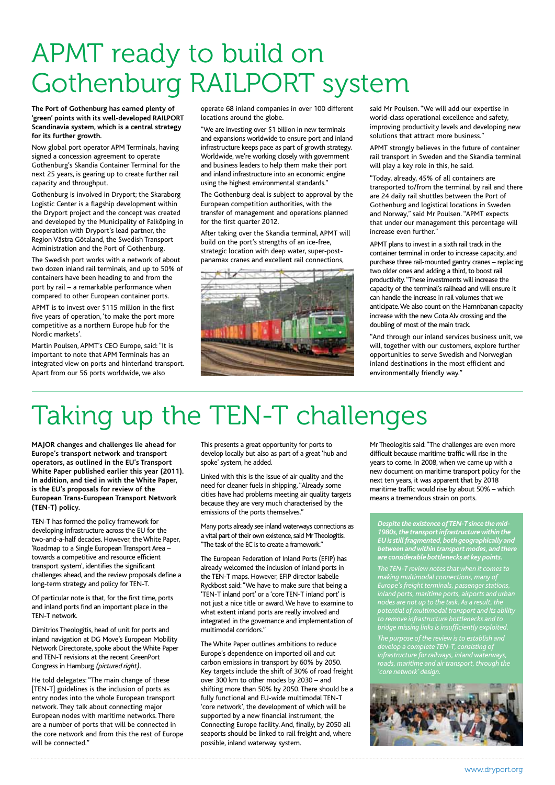## APMT ready to build on Gothenburg RAILPORT system

**The Port of Gothenburg has earned plenty of 'green' points with its well-developed RAILPORT Scandinavia system, which is a central strategy for its further growth.**

Now global port operator APM Terminals, having signed a concession agreement to operate Gothenburg's Skandia Container Terminal for the next 25 years, is gearing up to create further rail capacity and throughput.

Gothenburg is involved in Dryport; the Skaraborg Logistic Center is a flagship development within the Dryport project and the concept was created and developed by the Municipality of Falköping in cooperation with Dryport's lead partner, the Region Västra Götaland, the Swedish Transport Administration and the Port of Gothenburg.

The Swedish port works with a network of about two dozen inland rail terminals, and up to 50% of containers have been heading to and from the port by rail – a remarkable performance when compared to other European container ports.

APMT is to invest over \$115 million in the first five years of operation, 'to make the port more competitive as a northern Europe hub for the Nordic markets'.

Martin Poulsen, APMT's CEO Europe, said: "It is important to note that APM Terminals has an integrated view on ports and hinterland transport. Apart from our 56 ports worldwide, we also

operate 68 inland companies in over 100 different locations around the globe.

"We are investing over \$1 billion in new terminals and expansions worldwide to ensure port and inland infrastructure keeps pace as part of growth strategy. Worldwide, we're working closely with government and business leaders to help them make their port and inland infrastructure into an economic engine using the highest environmental standards."

The Gothenburg deal is subject to approval by the European competition authorities, with the transfer of management and operations planned for the first quarter 2012.

After taking over the Skandia terminal, APMT will build on the port's strengths of an ice-free, strategic location with deep water, super-postpanamax cranes and excellent rail connections,



said Mr Poulsen. "We will add our expertise in world-class operational excellence and safety, improving productivity levels and developing new solutions that attract more business."

APMT strongly believes in the future of container rail transport in Sweden and the Skandia terminal will play a key role in this, he said.

"Today, already, 45% of all containers are transported to/from the terminal by rail and there are 24 daily rail shuttles between the Port of Gothenburg and logistical locations in Sweden and Norway," said Mr Poulsen. "APMT expects that under our management this percentage will increase even further."

APMT plans to invest in a sixth rail track in the container terminal in order to increase capacity, and purchase three rail-mounted gantry cranes – replacing two older ones and adding a third, to boost rail productivity. "These investments will increase the capacity of the terminal's railhead and will ensure it can handle the increase in rail volumes that we anticipate. We also count on the Hamnbanan capacity increase with the new Gota Alv crossing and the doubling of most of the main track.

"And through our inland services business unit, we will, together with our customers, explore further opportunities to serve Swedish and Norwegian inland destinations in the most efficient and environmentally friendly way."

## Taking up the TEN-T challenges

**MAJOR changes and challenges lie ahead for Europe's transport network and transport operators, as outlined in the EU's Transport White Paper published earlier this year (2011). In addition, and tied in with the White Paper, is the EU's proposals for review of the European Trans-European Transport Network (TEN-T) policy.**

TEN-T has formed the policy framework for developing infrastructure across the EU for the two-and-a-half decades. However, the White Paper, 'Roadmap to a Single European Transport Area – towards a competitive and resource efficient transport system', identifies the significant challenges ahead, and the review proposals define a long-term strategy and policy for TEN-T.

Of particular note is that, for the first time, ports and inland ports find an important place in the TEN-T network.

Dimitrios Theologitis, head of unit for ports and inland navigation at DG Move's European Mobility Network Directorate, spoke about the White Paper and TEN-T revisions at the recent GreenPort Congress in Hamburg *(pictured right)*.

He told delegates: "The main change of these [TEN-T] guidelines is the inclusion of ports as entry nodes into the whole European transport network. They talk about connecting major European nodes with maritime networks. There are a number of ports that will be connected in the core network and from this the rest of Europe will be connected."

This presents a great opportunity for ports to develop locally but also as part of a great 'hub and spoke' system, he added.

Linked with this is the issue of air quality and the need for cleaner fuels in shipping. "Already some cities have had problems meeting air quality targets because they are very much characterised by the emissions of the ports themselves."

Many ports already see inland waterways connections as a vital part of their own existence, said Mr Theologitis. "The task of the EC is to create a framework."

The European Federation of Inland Ports (EFIP) has already welcomed the inclusion of inland ports in the TEN-T maps. However, EFIP director Isabelle Ryckbost said: "We have to make sure that being a 'TEN-T inland port' or a 'core TEN-T inland port' is not just a nice title or award. We have to examine to what extent inland ports are really involved and integrated in the governance and implementation of multimodal corridors."

The White Paper outlines ambitions to reduce Europe's dependence on imported oil and cut carbon emissions in transport by 60% by 2050. Key targets include the shift of 30% of road freight over 300 km to other modes by 2030 – and shifting more than 50% by 2050. There should be a fully functional and EU-wide multimodal TEN-T 'core network', the development of which will be supported by a new financial instrument, the Connecting Europe facility. And, finally, by 2050 all seaports should be linked to rail freight and, where possible, inland waterway system.

Mr Theologitis said: "The challenges are even more difficult because maritime traffic will rise in the years to come. In 2008, when we came up with a new document on maritime transport policy for the next ten years, it was apparent that by 2018 maritime traffic would rise by about 50% – which means a tremendous strain on ports.

*Despite the existence of TEN-T since the mid-1980s, the transport infrastructure within the EU is still fragmented, both geographically and between and within transport modes, and there are considerable bottlenecks at key points. The TEN-T review notes that when it comes to Europe's freight terminals, passenger stations,* 

*potential of multimodal transport and its ability to remove infrastructure bottlenecks and to bridge missing links is insufficiently exploited.*

*The purpose of the review is to establish and develop a complete TEN-T, consisting of 'core network' design.*